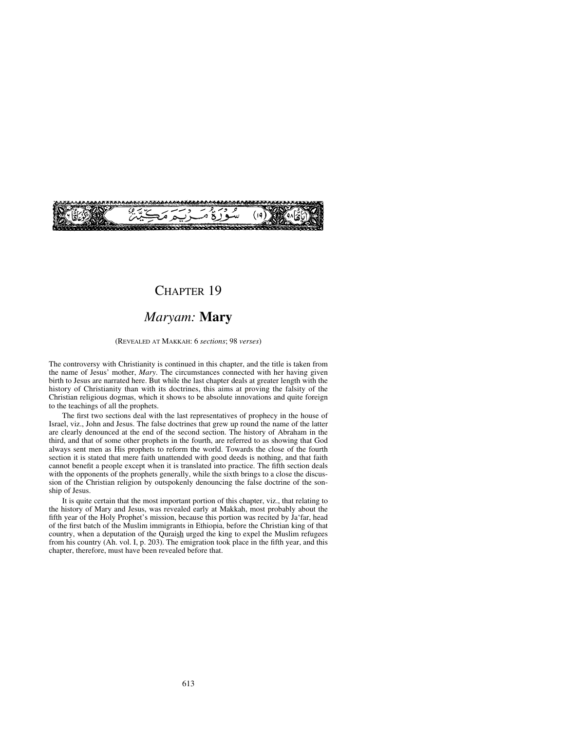

## CHAPTER 19

### *Maryam:* **Mary**

(REVEALED AT MAKKAH: 6 *sections*; 98 *verses*)

The controversy with Christianity is continued in this chapter, and the title is taken from the name of Jesus' mother, *Mary*. The circumstances connected with her having given birth to Jesus are narrated here. But while the last chapter deals at greater length with the history of Christianity than with its doctrines, this aims at proving the falsity of the Christian religious dogmas, which it shows to be absolute innovations and quite foreign to the teachings of all the prophets.

The first two sections deal with the last representatives of prophecy in the house of Israel, viz., John and Jesus. The false doctrines that grew up round the name of the latter are clearly denounced at the end of the second section. The history of Abraham in the third, and that of some other prophets in the fourth, are referred to as showing that God always sent men as His prophets to reform the world. Towards the close of the fourth section it is stated that mere faith unattended with good deeds is nothing, and that faith cannot benefit a people except when it is translated into practice. The fifth section deals with the opponents of the prophets generally, while the sixth brings to a close the discussion of the Christian religion by outspokenly denouncing the false doctrine of the sonship of Jesus.

It is quite certain that the most important portion of this chapter, viz., that relating to the history of Mary and Jesus, was revealed early at Makkah, most probably about the fifth year of the Holy Prophet's mission, because this portion was recited by Ja'far, head of the first batch of the Muslim immigrants in Ethiopia, before the Christian king of that country, when a deputation of the Quraish urged the king to expel the Muslim refugees from his country (Ah. vol. I, p. 203). The emigration took place in the fifth year, and this chapter, therefore, must have been revealed before that.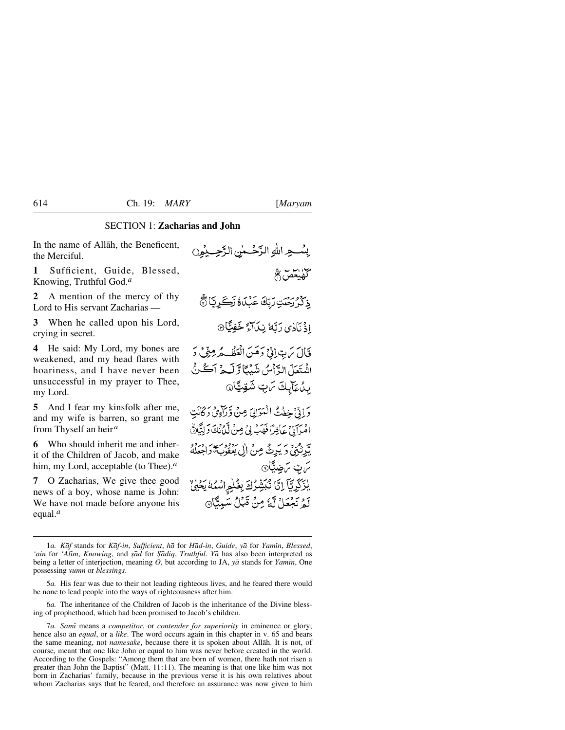#### SECTION 1: **Zacharias and John**

In the name of Allåh, the Beneficent, the Merciful.

**1** Sufficient, Guide, Blessed, Knowing, Truthful God.*<sup>a</sup>*

**2** A mention of the mercy of thy Lord to His servant Zacharias —

**3** When he called upon his Lord, crying in secret.

**4** He said: My Lord, my bones are weakened, and my head flares with hoariness, and I have never been unsuccessful in my prayer to Thee, my Lord.

**5** And I fear my kinsfolk after me, and my wife is barren, so grant me from Thyself an heir*<sup>a</sup>*

**6** Who should inherit me and inherit of the Children of Jacob, and make him, my Lord, acceptable (to Thee).*<sup>a</sup>*

**7** O Zacharias, We give thee good news of a boy, whose name is John: We have not made before anyone his equal.*<sup>a</sup>*

ِ بِسُــجِرِ اللهِ الرَّحُــمٰنِ الرَّحِــبِمُ( كلملحص فج ذِكْرُ رَحِيَّتِ رَبِّكَ عَبْدَةَ زَكَرِيَّا ۞ اذْ نَادٰى رَبَّهُ نِيْلاَءٍ خَفِيًّا۞ فَأَلَ سَ بِ ٓ إِذۡ ۚ دَهَنَ الۡعَظُـٰهُ مِنۡ مِّیۡ دَ اشْتَعَلَ الدَّأْسُ شَيْئًا وَّ لَبِيمُ أَڪُنُّ بِدُعَآيِكَ مَنِ شَقِيًّا۞ دَ إِذْ خِفْتُ الْمَوَالِيِّ مِنْ وَرَاءِيْ دَكَانَتِ امْرَآدٌ ۚ عَاٰقِدًا فَهَبۡ بِيۡ مِنۡ لَيۡ ُنِكَ دَلِيًّا۞ يَّد بِهِمْ وَيَدِثُّ مِنْ إِلِي بِعِفُوبِ وَاحِعَلُهُ ترت ترضيًّا<sub>©</sub> يْزَكِّرِيَّآ إِنَّا نُبَشِّرُكَ بِغُلْمِ اسْمُهُ يَحْيُنَ لَّهُ نَجْعَلْ لَّهُ مِنْ قَبَلْ سَبِيئًا۞

6*a.* The inheritance of the Children of Jacob is the inheritance of the Divine blessing of prophethood, which had been promised to Jacob's children.

7*a. Samß* means a *competitor*, or *contender for superiority* in eminence or glory; hence also an *equal*, or a *like*. The word occurs again in this chapter in v. 65 and bears the same meaning, not *namesake*, because there it is spoken about Allåh. It is not, of course, meant that one like John or equal to him was never before created in the world. According to the Gospels: "Among them that are born of women, there hath not risen a greater than John the Baptist" (Matt. 11:11). The meaning is that one like him was not born in Zacharias' family, because in the previous verse it is his own relatives about whom Zacharias says that he feared, and therefore an assurance was now given to him

<sup>1</sup>*a. Kåf* stands for *Kåf-in*, *Sufficient*, *hå* for *Håd-in*, *Guide*, *yå* for *Yamßn*, *Blessed*, *'ain* for *'Alim*, *Knowing*, and *şād* for *Şādiq*, *Truthful*. *Yā* has also been interpreted as being a letter of interjection, meaning *O*, but according to JA,  $y\bar{a}$  stands for *Yamin*, One possessing *yumn* or *blessings*.

<sup>5</sup>*a.* His fear was due to their not leading righteous lives, and he feared there would be none to lead people into the ways of righteousness after him.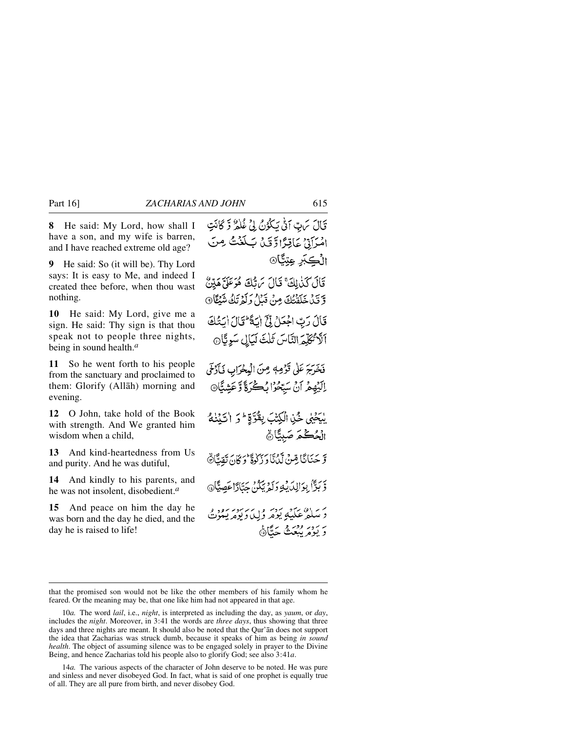**8** He said: My Lord, how shall I have a son, and my wife is barren, and I have reached extreme old age?

**9** He said: So (it will be). Thy Lord says: It is easy to Me, and indeed I created thee before, when thou wast nothing.

**10** He said: My Lord, give me a sign. He said: Thy sign is that thou speak not to people three nights, being in sound health.*<sup>a</sup>*

**11** So he went forth to his people from the sanctuary and proclaimed to them: Glorify (Allåh) morning and evening.

**12** O John, take hold of the Book with strength. And We granted him wisdom when a child,

**13** And kind-heartedness from Us and purity. And he was dutiful,

**14** And kindly to his parents, and he was not insolent, disobedient.*<sup>a</sup>*

**15** And peace on him the day he was born and the day he died, and the day he is raised to life!

قَالَ سَ بِّ أَنَّى يَكْوُنُ لِيَ عُلْمُ وَّ كَانَتِ امْرَاتِيْ عَاقِرًا وَقَلْ بَكَغْتُ مِنَ الْكَبْرِ عِتِمَّا۞ قَالَ كَنْدَلِكَ ۚ قَالَ يَرَاتُكَ هُوَعَلَّ هَدِّينُ وَّ تَنْ خَلَقْتُكَ مِنْ قَبْلُ وَلَمْ تَكُ شَيْئًا 9 قَالَ رَبِّ اجْعَلْ لِقَ إِسَةً لِمَالَ السُّكَ أَلَا تُكَلِّمَ النَّاسَ ثَلْثَ لَيَالِ سَوِيًّا فَخَرَجَ عَلَى قَوْمِهِ مِنَ الْبِحْرَابِ فَأَوْلَى إِلَيْهِمْ أَنْ سِيِّحْرًا بِكُرَةً وَّعَشِيًّانَ لْبَحْيِي خُذِ الْكِتْبَ بِقُوَّةٍ ۖ وَ اٰتَيْنِيُّهُ الْحُكْمَ صَبِيًّانَ وَ حَنَانًا رِّسْ لَدُنَّا وَزَلُوةً وَكَانَ تَقِيًّا ﴾ وَّ بَدًّا بِوَالِدَيْهِ وَلَمْ يَكُنُّ حَتَادًا عَصِيًّا۞ ئرساد، ئىم بردىن مەسرىيەدىن دور.<br>د سلمرغلىيى يومر ۇلياروپومريىتوت ىر ئەدىر *دەنى* ئەيگاھ

that the promised son would not be like the other members of his family whom he feared. Or the meaning may be, that one like him had not appeared in that age.

<sup>10</sup>*a.* The word *lail*, i.e., *night*, is interpreted as including the day, as *yaum*, or *day*, includes the *night*. Moreover, in 3:41 the words are *three days*, thus showing that three days and three nights are meant. It should also be noted that the Qur'ån does not support the idea that Zacharias was struck dumb, because it speaks of him as being *in sound health*. The object of assuming silence was to be engaged solely in prayer to the Divine Being, and hence Zacharias told his people also to glorify God; see also 3:41*a*.

<sup>14</sup>*a.* The various aspects of the character of John deserve to be noted. He was pure and sinless and never disobeyed God. In fact, what is said of one prophet is equally true of all. They are all pure from birth, and never disobey God.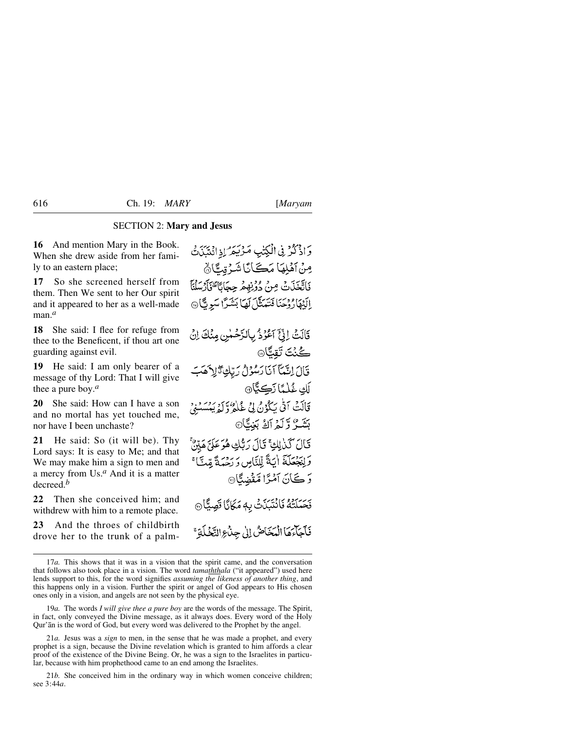### SECTION 2: **Mary and Jesus**

**16** And mention Mary in the Book. When she drew aside from her family to an eastern place;

**17** So she screened herself from them. Then We sent to her Our spirit and it appeared to her as a well-made man.*<sup>a</sup>*

**18** She said: I flee for refuge from thee to the Beneficent, if thou art one guarding against evil.

**19** He said: I am only bearer of a message of thy Lord: That I will give thee a pure boy.*<sup>a</sup>*

**20** She said: How can I have a son and no mortal has yet touched me, nor have I been unchaste?

**21** He said: So (it will be). Thy Lord says: It is easy to Me; and that We may make him a sign to men and a mercy from Us.*<sup>a</sup>* And it is a matter decreed.*<sup>b</sup>*

**22** Then she conceived him; and withdrew with him to a remote place.

**23** And the throes of childbirth drove her to the trunk of a palm-

وَإِذْكُرْ فِي الْكِتْبِ مَرْيَمَرُ إِذِانِيَيْنَ ثَ مِنْ آهْلِهَا مَكَانَا شَرْقِيًّا ﴾ فَاتَّعَذَتْ مِنْ دَوْنِهِ مْرِ حِعَانَاً وَإِنَّهُمْ لَهُ مِنْ الَّذِهَارُ دُجَنَا فَتَعَنَّلَ لَهَا بَشَرًا سَوِيًّا ۞

قَالَتْ إِنِّيَ آَعُوْذُ بِالرَّحْمٰنِ مِنْكَ إِنْ كُنْتَ تَقِبًّا® قَالَ اِنَّمَآ اَنَا رَسُوۡلُ رَبِّكِ ۚ زَٰلِهِ مَبَ لَكِ غُلْمًا زَكِيًّا۞ قَالَتْ اَتَّى يَكُوْنُ لِيَ غُلْمُرٌوَّكُوْيَسْسَنِيْ بَشَّعٌ وَّلَّمۡ آَكُ بَغِيًّا۞ قَالَ كَنْزِلِكَ قَالَ رَبُّكِ هُوَعَلَيَّ هَيِّنٌ وَلِنَجْعَلَهَ اٰيَةً لِّلنَّاسِ وَرَحْمَةً مِّتَّا ۚ وَكَانَ آمْزًا مَّقْضِدًّا® نَحَىَلَتُهُ فَانْتَبَذَتْ بِهِ مَكَانًا قَصِيًّا ﴾ فَأَجَاءَهَا الْمَخَاضُ إِلَىٰ جِدْبِهِ النَّخْلَةِ ۚ

19*a.* The words *I will give thee a pure boy* are the words of the message. The Spirit, in fact, only conveyed the Divine message, as it always does. Every word of the Holy Qur'ån is the word of God, but every word was delivered to the Prophet by the angel.

21*a.* Jesus was a *sign* to men, in the sense that he was made a prophet, and every prophet is a sign, because the Divine revelation which is granted to him affords a clear proof of the existence of the Divine Being. Or, he was a sign to the Israelites in particular, because with him prophethood came to an end among the Israelites.

21*b.* She conceived him in the ordinary way in which women conceive children; see 3:44*a*.

<sup>17</sup>*a.* This shows that it was in a vision that the spirit came, and the conversation that follows also took place in a vision. The word *tamaththala* ("it appeared") used here lends support to this, for the word signifies *assuming the likeness of another thing*, and this happens only in a vision. Further the spirit or angel of God appears to His chosen ones only in a vision, and angels are not seen by the physical eye.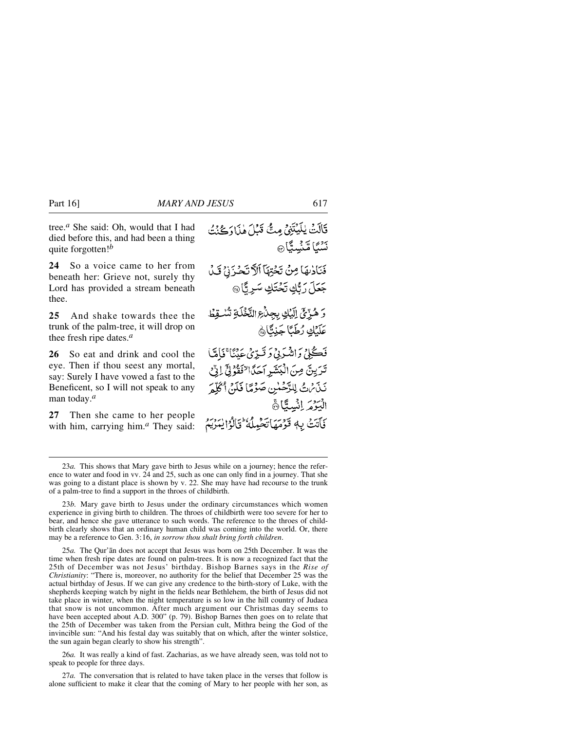tree.*<sup>a</sup>* She said: Oh, would that I had died before this, and had been a thing quite forgotten!*<sup>b</sup>*

**24** So a voice came to her from beneath her: Grieve not, surely thy Lord has provided a stream beneath thee.

**25** And shake towards thee the trunk of the palm-tree, it will drop on thee fresh ripe dates.*<sup>a</sup>*

**26** So eat and drink and cool the eye. Then if thou seest any mortal, say: Surely I have vowed a fast to the Beneficent, so I will not speak to any man today.*<sup>a</sup>*

**27** Then she came to her people with him, carrying him.*<sup>a</sup>* They said:

قَالَتْ يٰلَيْتَنِيْ مِتّْ قَبْلَ هٰذَا دَكْنَتُ نَشْبًا مَّنْسِيًّا ۞ فَنَادْتِهَا مِنْ تَحْتِهَا ٱلْآتَحْزَنِيِّ قَيْلَ جَعَلَ رَبُّكِ تَحْتَكِ سَرِيًّا ۞ وَهُرِّيِّ إِلَيْكِ بِجِدْجِ النَّخْلَةِ تُسْقِطْ كَلَّبْكِ رُطَبًا جَنِتًا فَڪْلِيُ وَاشْرَبِيُ دَ قَبِيْرَيُ عَدَنَا ۚ فَامَّاً تَرَيِنَ مِنَ الْبَشَرِ اَحَدًا لِنَفْوُلِيٍّ لِنِّ نَذَىٰنُ لِلرَّحْسٰنِ صَوْمًا فَلَنْ أَكَلِّمَ الْبَوْمَرِ إِنْسِتَكَانَ فَأَتَتْ بِهٖ قَوْمَهَاتَحْيِلُهُ ۚ وَٱلْوَٰۤ لِيَتَرَبَّمُ

26*a.* It was really a kind of fast. Zacharias, as we have already seen, was told not to speak to people for three days.

27*a.* The conversation that is related to have taken place in the verses that follow is alone sufficient to make it clear that the coming of Mary to her people with her son, as

<sup>23</sup>*a.* This shows that Mary gave birth to Jesus while on a journey; hence the reference to water and food in vv. 24 and 25, such as one can only find in a journey. That she was going to a distant place is shown by v. 22. She may have had recourse to the trunk of a palm-tree to find a support in the throes of childbirth.

<sup>23</sup>*b.* Mary gave birth to Jesus under the ordinary circumstances which women experience in giving birth to children. The throes of childbirth were too severe for her to bear, and hence she gave utterance to such words. The reference to the throes of childbirth clearly shows that an ordinary human child was coming into the world. Or, there may be a reference to Gen. 3:16, *in sorrow thou shalt bring forth children*.

<sup>25</sup>*a.* The Qur'ån does not accept that Jesus was born on 25th December. It was the time when fresh ripe dates are found on palm-trees. It is now a recognized fact that the 25th of December was not Jesus' birthday. Bishop Barnes says in the *Rise of Christianity*: "There is, moreover, no authority for the belief that December 25 was the actual birthday of Jesus. If we can give any credence to the birth-story of Luke, with the shepherds keeping watch by night in the fields near Bethlehem, the birth of Jesus did not take place in winter, when the night temperature is so low in the hill country of Judaea that snow is not uncommon. After much argument our Christmas day seems to have been accepted about A.D. 300" (p. 79). Bishop Barnes then goes on to relate that the 25th of December was taken from the Persian cult, Mithra being the God of the invincible sun: "And his festal day was suitably that on which, after the winter solstice, the sun again began clearly to show his strength".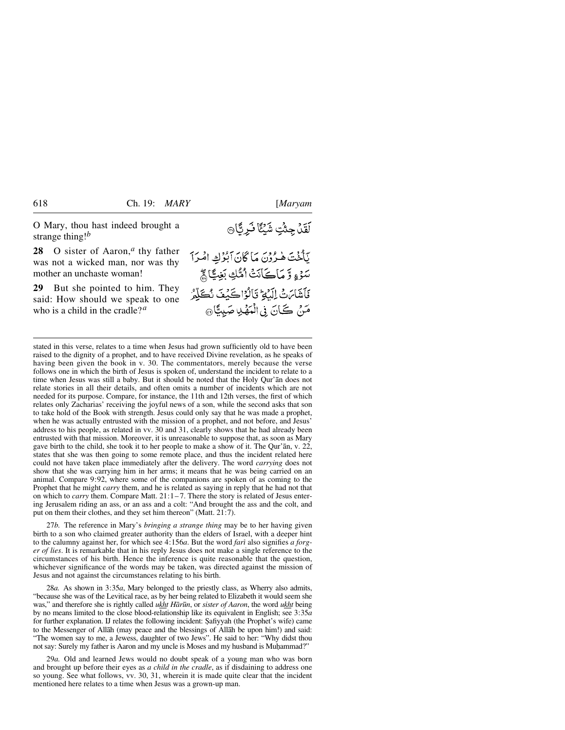**28** O sister of Aaron,*<sup>a</sup>* thy father was not a wicked man, nor was thy mother an unchaste woman!

**29** But she pointed to him. They said: How should we speak to one who is a child in the cradle?*<sup>a</sup>*

## لَقَدْ جِئْتِ شَيْئًا نَرِيًّا۞

يَأْخُتَ هٰرُوْنَ مَا كَانَ اَبُوُكِ امْرَاً سَوْءٍ وَّ مَاڪَانَتْ اُمُّكِ بَغِيُّاچُّ فَأَشَامَ ثَ الْبَيْحُ قَالُوْا كَيْفَ نُكَلِّمُ مَنْ كَانَ فِي الْمَهْدِ صَبِيًّا @

stated in this verse, relates to a time when Jesus had grown sufficiently old to have been raised to the dignity of a prophet, and to have received Divine revelation, as he speaks of having been given the book in v. 30. The commentators, merely because the verse follows one in which the birth of Jesus is spoken of, understand the incident to relate to a time when Jesus was still a baby. But it should be noted that the Holy Qur'ån does not relate stories in all their details, and often omits a number of incidents which are not needed for its purpose. Compare, for instance, the 11th and 12th verses, the first of which relates only Zacharias' receiving the joyful news of a son, while the second asks that son to take hold of the Book with strength. Jesus could only say that he was made a prophet, when he was actually entrusted with the mission of a prophet, and not before, and Jesus' address to his people, as related in vv. 30 and 31, clearly shows that he had already been entrusted with that mission. Moreover, it is unreasonable to suppose that, as soon as Mary gave birth to the child, she took it to her people to make a show of it. The Qur'ån, v. 22, states that she was then going to some remote place, and thus the incident related here could not have taken place immediately after the delivery. The word *carrying* does not show that she was carrying him in her arms; it means that he was being carried on an animal. Compare 9:92, where some of the companions are spoken of as coming to the Prophet that he might *carry* them, and he is related as saying in reply that he had not that on which to *carry* them. Compare Matt. 21:1–7. There the story is related of Jesus entering Jerusalem riding an ass, or an ass and a colt: "And brought the ass and the colt, and put on them their clothes, and they set him thereon" (Matt. 21:7).

27*b.* The reference in Mary's *bringing a strange thing* may be to her having given birth to a son who claimed greater authority than the elders of Israel, with a deeper hint to the calumny against her, for which see 4:156*a*. But the word *fari* also signifies *a forger of lies*. It is remarkable that in his reply Jesus does not make a single reference to the circumstances of his birth. Hence the inference is quite reasonable that the question, whichever significance of the words may be taken, was directed against the mission of Jesus and not against the circumstances relating to his birth.

28*a.* As shown in 3:35*a*, Mary belonged to the priestly class, as Wherry also admits, "because she was of the Levitical race, as by her being related to Elizabeth it would seem she was," and therefore she is rightly called *ukht Hår∂n*, or *sister of Aaron*, the word *ukht* being by no means limited to the close blood-relationship like its equivalent in English; see 3:35*a* for further explanation. IJ relates the following incident: Şafiyyah (the Prophet's wife) came to the Messenger of Allåh (may peace and the blessings of Allåh be upon him!) and said: "The women say to me, a Jewess, daughter of two Jews". He said to her: "Why didst thou not say: Surely my father is Aaron and my uncle is Moses and my husband is Muhammad?"

29*a.* Old and learned Jews would no doubt speak of a young man who was born and brought up before their eyes as *a child in the cradle*, as if disdaining to address one so young. See what follows, vv. 30, 31, wherein it is made quite clear that the incident mentioned here relates to a time when Jesus was a grown-up man.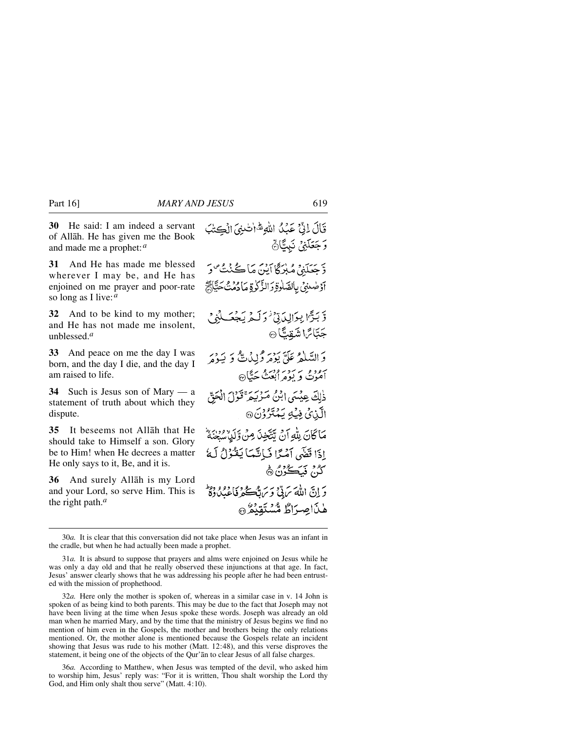**30** He said: I am indeed a servant of Allåh. He has given me the Book and made me a prophet:*<sup>a</sup>*

**31** And He has made me blessed wherever I may be, and He has enjoined on me prayer and poor-rate so long as I live:*<sup>a</sup>*

**32** And to be kind to my mother; and He has not made me insolent, unblessed.*<sup>a</sup>*

**33** And peace on me the day I was born, and the day I die, and the day I am raised to life.

**34** Such is Jesus son of Mary — a statement of truth about which they dispute.

**35** It beseems not Allåh that He should take to Himself a son. Glory be to Him! when He decrees a matter He only says to it, Be, and it is.

**36** And surely Allåh is my Lord and your Lord, so serve Him. This is the right path.*<sup>a</sup>*

قَالَ لِيٍّ عَبْدُ اللَّهِ شَالْتَنِيَ الْكِتْبَ وَجَعَلَنِيٌ نَبِيًّا ُ دَ حَيَدَهُ مِيلاً گا آبِينَ مَا ڪُنٺُ صَو آؤضنني بالصّلوةِ دَالزَّكْرِةِ مَادْمُنْ حَيَّاهُمْ وَّبَرَّا بِوَالِدَقِّ وَلَمْ يَجْعَلُنِي جَبَّائِ اشْقِيًّا @ وَالسَّلَمْ عَلَيَّ يَوْمَرْ وَلِيْهِ بِيُّ وَ بَيَوْمَ برود بر سوپرورو سنگ@<br>اموت و پومرابعث ځینگ@ ذٰلِكَ عِيْسَى إِبْنُ مَرْبَهِمْ قَوْلَ الْحَقّ الَّذِيْ فِيۡهِ يَمۡتَرُوۡنَ ۞ مَاكَانَ بِلَّٰهِ أَنْ يَتَّخِذَ مِنْ وَلَٰٓلٍ ْسَعْنَةً إِذَا قَضَى أَمْيًا فَبَاتَيْهَا يَغْنُوْلُ لَهُ َكُنْ فَبَكُوْنُ۞ دَ إِنَّ اللَّهَ سَ بِيٌّ وَسَ قَبْحَ لِمَ ذَاعِدُ دِهِ وَ وَطِ هٰذَاصِرَاطٌ مُّسْتَقِيْمٌ

<sup>30</sup>*a.* It is clear that this conversation did not take place when Jesus was an infant in the cradle, but when he had actually been made a prophet.

<sup>31</sup>*a.* It is absurd to suppose that prayers and alms were enjoined on Jesus while he was only a day old and that he really observed these injunctions at that age. In fact, Jesus' answer clearly shows that he was addressing his people after he had been entrusted with the mission of prophethood.

<sup>32</sup>*a.* Here only the mother is spoken of, whereas in a similar case in v. 14 John is spoken of as being kind to both parents. This may be due to the fact that Joseph may not have been living at the time when Jesus spoke these words. Joseph was already an old man when he married Mary, and by the time that the ministry of Jesus begins we find no mention of him even in the Gospels, the mother and brothers being the only relations mentioned. Or, the mother alone is mentioned because the Gospels relate an incident showing that Jesus was rude to his mother (Matt. 12:48), and this verse disproves the statement, it being one of the objects of the Qur'ån to clear Jesus of all false charges.

<sup>36</sup>*a.* According to Matthew, when Jesus was tempted of the devil, who asked him to worship him, Jesus' reply was: "For it is written, Thou shalt worship the Lord thy God, and Him only shalt thou serve" (Matt. 4:10).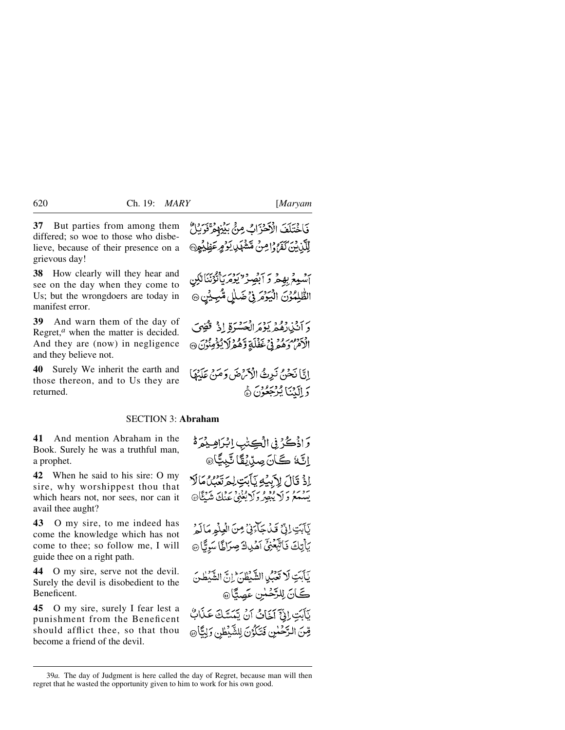**37** But parties from among them differed; so woe to those who disbelieve, because of their presence on a grievous day!

**38** How clearly will they hear and see on the day when they come to Us; but the wrongdoers are today in manifest error.

**39** And warn them of the day of Regret,<sup>*a*</sup> when the matter is decided. And they are (now) in negligence and they believe not.

**40** Surely We inherit the earth and those thereon, and to Us they are returned.

فَاخْتَلَفَ الْأَحْزَابُ مِنْ بَيْنِهِمْ قَوْبِلُ لِلَّذِينَ كَفَرُدْ إِمِنْ مَشْهَدٍ بِدَمِرِ عَظِيْمِ ۞

أَسْمِعُ بِهِمْ وَ أَبْصِرْ ۚ يُوْمَرِ أَيْوَنَنَا لَكِن الطَّلِمُوْنَ الْيَوْمَرِ فِي ضَلْلِ مُّبِيِّيْنِ @

دَ أَنْ لِلْمُعْرِ يَوْمَ الْحَسْرَةِ إِذْ قُضِيَ الْأَمْرُ وَهُمْ فِي غَفْلَةٍ وَهُمْزَلَا يُؤْمِنُونَ ۞

إِنَّا نَحْنُ نَبِرِثُ الْأَمْرُضَ وَمَنْ عَلَيْهَا وَ اِلَيْنَا يُرْجَعُونَ ﴾

#### SECTION 3: **Abraham**

**41** And mention Abraham in the Book. Surely he was a truthful man, a prophet.

**42** When he said to his sire: O my sire, why worshippest thou that which hears not, nor sees, nor can it avail thee aught?

**43** O my sire, to me indeed has come the knowledge which has not come to thee; so follow me, I will guide thee on a right path.

**44** O my sire, serve not the devil. Surely the devil is disobedient to the Beneficent.

**45** O my sire, surely I fear lest a punishment from the Beneficent should afflict thee, so that thou become a friend of the devil.

وَاذْكُرُ فِى الْكِتْبِ اِبْرَاهِ بِمَرَّة اِنَّةَ كَانَ صِدِّيْقًا تَّبِيًّا۞ اِذْ قَالَ لِأَبِيْهِ يَأْبَتِ لِمَ تَعْبُنُ مَأْلَا موسم وَ لا يُبْصِرُولاَيْغْنِي عِنْكَ شَيْئًا۞

يَأْبَتِ إِنِّيٍّ قَيْدَ جَآءَنِيٌّ مِنَ الْمِلْمِ مَالَمُ يَأْتِكَ فَأَتَّبَّعْنَى أَهْدِكَ صِرَاطًا سَرِيًّا ۞

يَأْبَتِ لَا تَعَبُّدِا الشَّيْطُنَّ إِنَّ الشَّيْطُنَ ڪَانَ لِلرَّحْمٰنِ عَصِيَّا@

يَأْبَتِ إِنِّيٍّ آخَاتُ أَنْ يَتَمَسَّكَ عَذَابٌ قِنَ الرَّحْسٰيِ فَتَكَوُّنَ لِلشَّيْطِٰنِ وَلِيًّا @

<sup>39</sup>*a.* The day of Judgment is here called the day of Regret, because man will then regret that he wasted the opportunity given to him to work for his own good.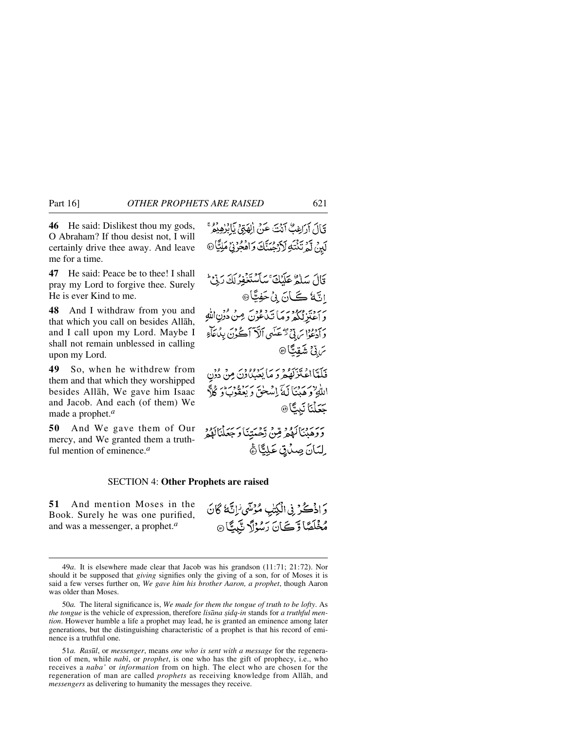**46** He said: Dislikest thou my gods, O Abraham? If thou desist not, I will certainly drive thee away. And leave me for a time.

**47** He said: Peace be to thee! I shall pray my Lord to forgive thee. Surely He is ever Kind to me.

**48** And I withdraw from you and that which you call on besides Allåh, and I call upon my Lord. Maybe I shall not remain unblessed in calling upon my Lord.

**49** So, when he withdrew from them and that which they worshipped besides Allåh, We gave him Isaac and Jacob. And each (of them) We made a prophet.*<sup>a</sup>*

**50** And We gave them of Our mercy, and We granted them a truthful mention of eminence.*<sup>a</sup>*

#### SECTION 4: **Other Prophets are raised**

**51** And mention Moses in the Book. Surely he was one purified, and was a messenger, a prophet.*<sup>a</sup>*

قَالَ أَرَاغِبٌ أَنْتَ عَنْ الْهَتِي يَابُرْهِيْمٌ رِّهِ لَّمَرْتَنْتُهِ لَأَرْجُمَنَّكَ وَاهْجُرْنِيْ مَلِيًّا @

قَالَ سَلَّهُ عَلَيْكَ ۚ سَأَسْتَغْفِرُ لَكَ رَبِّيْ ۚ اِنَّةُ كَمَانَ بِنْ حَفِيًّا® بَرْدَيْهُ وَمَا تَدْوُدَ مِنْ دُوْنِ اللَّهِ بر دودا پر پڻ ٿڪسي الا آڪُرن بِڊُاجَاءِ *ڹ*ڹٚڹ؉ٙؿ فَلَلَّااعْتَزَلَّهُ وَدَمَا يَعۡبُدُوۡنَ مِنۡ دُوۡن اللَّهِ وَحَدْنَاكَ إِسْلَحْقَ وَيَعْقُونَ وَكُلَّهُ

يَرْمَنْ الْمَهْمْ مِّنْ رَّحْمَتِنَا وَجَعَلْنَالَهُمْ ِ لِيَبَانَ صِيْرِيٍّ عَلِيٍّاً ﴾

جَعَلْنَا نَبِيًّا®

وَاذْكُرُ فِى الْكِتْبِ مُؤْسِّى لِأَنَّهُ كَانَ مُخْلَصًا وَّكَانَ رَسُوُلَ نَّبِيًّا @

51*a. Ras∂l*, or *messenger*, means *one who is sent with a message* for the regeneration of men, while *nabß*, or *prophet*, is one who has the gift of prophecy, i.e., who receives a *naba'* or *information* from on high. The elect who are chosen for the regeneration of man are called *prophets* as receiving knowledge from Allåh, and *messengers* as delivering to humanity the messages they receive.

<sup>49</sup>*a*. It is elsewhere made clear that Jacob was his grandson (11:71; 21:72). Nor should it be supposed that *giving* signifies only the giving of a son, for of Moses it is said a few verses further on, *We gave him his brother Aaron, a prophet*, though Aaron was older than Moses.

<sup>50</sup>*a.* The literal significance is, *We made for them the tongue of truth to be lofty*. As *the tongue* is the vehicle of expression, therefore *lisana sidq-in* stands for *a truthful mention*. However humble a life a prophet may lead, he is granted an eminence among later generations, but the distinguishing characteristic of a prophet is that his record of eminence is a truthful one.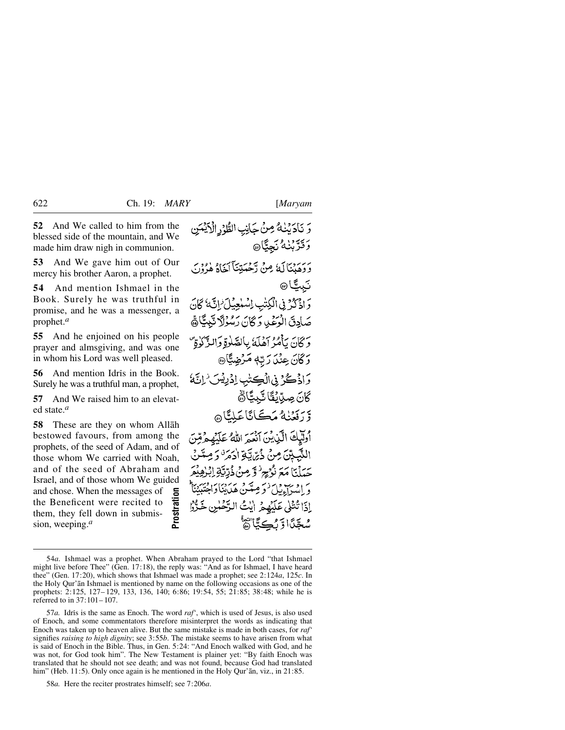**52** And We called to him from the blessed side of the mountain, and We made him draw nigh in communion.

**53** And We gave him out of Our mercy his brother Aaron, a prophet.

**54** And mention Ishmael in the Book. Surely he was truthful in promise, and he was a messenger, a prophet.*<sup>a</sup>*

**55** And he enjoined on his people prayer and almsgiving, and was one in whom his Lord was well pleased.

**56** And mention Idris in the Book. Surely he was a truthful man, a prophet,

**57** And We raised him to an elevated state.*<sup>a</sup>*

**58** These are they on whom Allåh bestowed favours, from among the prophets, of the seed of Adam, and of those whom We carried with Noah, and of the seed of Abraham and Israel, and of those whom We guided and chose. When the messages of the Beneficent were recited to them, they fell down in submission, weeping.*<sup>a</sup>*

وَ نَادَيْنَهُ مِنْ جَانِبِ الطُّوْرِ الْأَيْنَى **وَقَدَّبْنَهُ نَجِيًّا۞** د ديدن که مِنْ دَخْسَتِنَآ کَمَاهُ وُدُوْ تببيًّا® وَاذْكُرْ فِي الْكِتْبِ اِسْلِعِيْلَ ٰ إِنَّهُ كَانَ صَادِقَ الْعَمَىٰدِ وَكَانَ رَسُوْلَا تَبِيتًاهُم وْ ݣَانَ بِٱمْرُ أَهْلَةُ بِالصَّلْوَةِ وَالنَّزَّلُوٰةِ ۚ وْݣَانَ عِنْدَا رَبِّهٖ مَرْضِيًّا۞ وَإِذْكُرْ فِي الْكِتْبِ إِذْ بِيْسَ ٰ إِنَّهُ ؘڴڷ؏ڝڐٮ**ؙڟٞ**ڷػؠڲٲۿ وّ دَ فَعَنْهُ مَڪَانَاعَلَيْاْ هِ أُولَيْكَ الَّذِينَ أَنْعَهَ اللهُ عَلَيْهِ هُ مِّنَ النَّبِيِّنَ مِنْ ذُيَّ يَّةِ اٰدَمَرَّ رَمِّ حَيَلْنَا مَعَ نُوُجِرٌ وَّ مِنْ ذُرِّيَّةٍ إِبْنِ براويب دائر وعدسي عبايتاوا شَعَّدًا وَّرْڪِيَّا تَقَ

<sup>54</sup>*a.* Ishmael was a prophet. When Abraham prayed to the Lord "that Ishmael might live before Thee" (Gen. 17:18), the reply was: "And as for Ishmael, I have heard thee" (Gen. 17:20), which shows that Ishmael was made a prophet; see 2:124*a*, 125*c*. In the Holy Qur'ån Ishmael is mentioned by name on the following occasions as one of the prophets: 2:125, 127– 129, 133, 136, 140; 6:86; 19:54, 55; 21:85; 38:48; while he is referred to in 37:101– 107.

<sup>57</sup>*a*. Idris is the same as Enoch. The word *raf'*, which is used of Jesus, is also used of Enoch, and some commentators therefore misinterpret the words as indicating that Enoch was taken up to heaven alive. But the same mistake is made in both cases, for *raf'* signifies *raising to high dignity*; see 3:55*b*. The mistake seems to have arisen from what is said of Enoch in the Bible. Thus, in Gen. 5:24: "And Enoch walked with God, and he was not, for God took him". The New Testament is plainer yet: "By faith Enoch was translated that he should not see death; and was not found, because God had translated him" (Heb. 11:5). Only once again is he mentioned in the Holy Qur'ān, viz., in 21:85. For the messages of<br>
Beneficent were recited to<br>
m, they fell down in submis-<br>
1. weeping.<sup>*a*</sup><br>
54*a*. Ishmael was a prophet. When Abraham pratitive before Thee" (Gen. 17:18), the reply was: "A " (Gen. 17:20), which show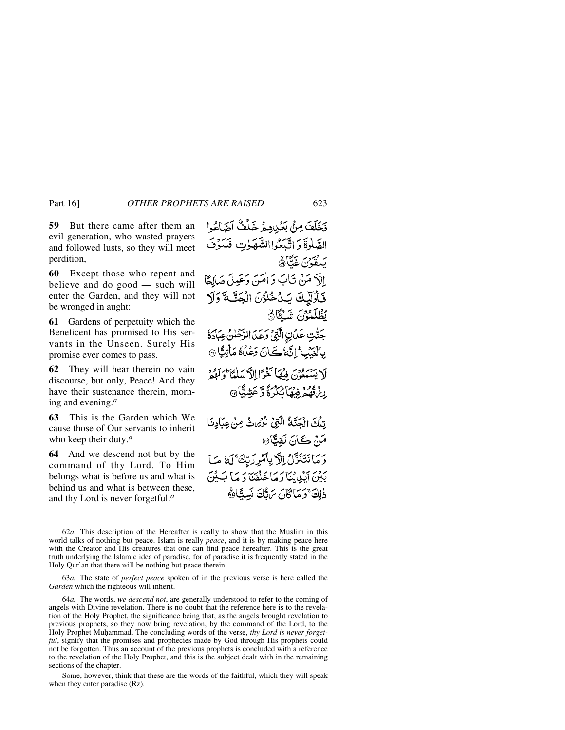**59** But there came after them an evil generation, who wasted prayers and followed lusts, so they will meet perdition,

**60** Except those who repent and believe and do good — such will enter the Garden, and they will not be wronged in aught:

**61** Gardens of perpetuity which the Beneficent has promised to His servants in the Unseen. Surely His promise ever comes to pass.

**62** They will hear therein no vain discourse, but only, Peace! And they have their sustenance therein, morning and evening.*<sup>a</sup>*

**63** This is the Garden which We cause those of Our servants to inherit who keep their duty.*<sup>a</sup>*

**64** And we descend not but by the command of thy Lord. To Him belongs what is before us and what is behind us and what is between these, and thy Lord is never forgetful.*<sup>a</sup>*

فَخَلَفَ مِنْ بَعْيِدِهِمْ خَلْفٌ أَضَاعُوا الصَّلٰوةَ وَاتَّبَعُواالشَّهَوْتِ فَسَوْفَ بَلْغَدْنَ غَيَّارَة إلَّا مَنْ تَابَ وَ اٰمَنَ وَعَيْلَ صَالِحًا فَأُولَيْكَ يَدُخُلُوْنَ الْجَنَّكَ وَلَا يُظْلَمُوْنَ شَيْئًا جَنّْتِ عَدَنِ الَّذِي وَعَدَ الرَّحْلُنُ عِبَادَةُ بِالْغَيۡبِيِّ إِنَّكَا ڪَأَنَ دَعۡلَاهُ مَأۡتِيًّا ۞ لَا يَسْبَعُوْنَ فِيهَا لَغَوَّا إِلاَّ سَلَمْاً وَلَوْ كَهُ دَ ۣڔڹ<sup>ۊ</sup>ڡۣڡۿ ڣؽڡؘٵ<sup>ؽ</sup>ػۯؗۊٞڗۜعٙۺؾٞٵ۞ ِتِلْكَ الْجَنَّةُ الَّتِيْ نُوْيُ ثُ مِنْ عِبَادِنَا مَنْ ڪَانَ تَقُبُّا۞ وَمَانَتَنَزَّلُ اِلَّا بِأَمْرِ رَبِّكَ ۚ لَهُ مَا بِدْيَنِ أَيْدِيْنَا دَمَاخَلْفَنَا دَمَا بَكِيْنَ ذلكَ وَمَاكَانَ بَرَهُكَ نَستَارَةً

63*a.* The state of *perfect peace* spoken of in the previous verse is here called the *Garden* which the righteous will inherit.

64*a.* The words, *we descend not*, are generally understood to refer to the coming of angels with Divine revelation. There is no doubt that the reference here is to the revelation of the Holy Prophet, the significance being that, as the angels brought revelation to previous prophets, so they now bring revelation, by the command of the Lord, to the Holy Prophet Muhammad. The concluding words of the verse, *thy Lord is never forgetful*, signify that the promises and prophecies made by God through His prophets could not be forgotten. Thus an account of the previous prophets is concluded with a reference to the revelation of the Holy Prophet, and this is the subject dealt with in the remaining sections of the chapter.

Some, however, think that these are the words of the faithful, which they will speak when they enter paradise (Rz).

<sup>62</sup>*a.* This description of the Hereafter is really to show that the Muslim in this world talks of nothing but peace. Islåm is really *peace*, and it is by making peace here with the Creator and His creatures that one can find peace hereafter. This is the great truth underlying the Islamic idea of paradise, for of paradise it is frequently stated in the Holy Qur'ån that there will be nothing but peace therein.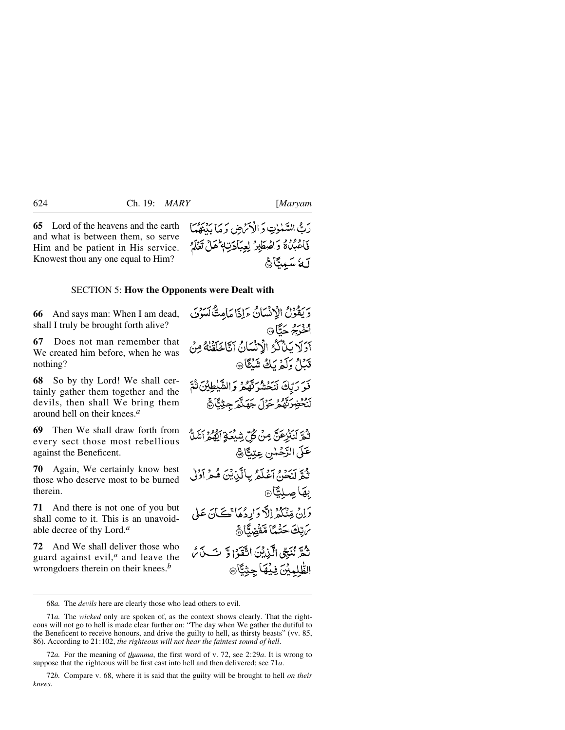آمة سَمِينَاهُمْ

**65** Lord of the heavens and the earth and what is between them, so serve Him and be patient in His service. Knowest thou any one equal to Him?

#### SECTION 5: **How the Opponents were Dealt with**

**66** And says man: When I am dead, shall I truly be brought forth alive?

**67** Does not man remember that We created him before, when he was nothing?

**68** So by thy Lord! We shall certainly gather them together and the devils, then shall We bring them around hell on their knees.*<sup>a</sup>*

**69** Then We shall draw forth from every sect those most rebellious against the Beneficent.

**70** Again, We certainly know best those who deserve most to be burned therein.

**71** And there is not one of you but shall come to it. This is an unavoidable decree of thy Lord.*<sup>a</sup>*

**72** And We shall deliver those who guard against evil,*<sup>a</sup>* and leave the wrongdoers therein on their knees.*<sup>b</sup>*

دَيَقُوْلُ الْإِنْسَانُ ءَإِذَا مَامِتًّا كَسَوْنَ و دیرم به ئا® آوَلَا يَدْكُرُ الْإِنْسَانُ آتَاخَلَقْنَهُ مِنْ قَدَلُ دَلَّهُ بَكُ شَنْݣَا۞ فَوَرَتِكَ لَنَحْشُرَتَّهُ وَالشَّيْطِيْنَ ثُمَّ لَنُحْضِرَتَّهُمْ حَوْلَ جَهَنَّدَ جِنْتِيًّا ﴾ تْجْرَلْنَنْزِعَنَّ مِنْ كُلِّ شِبْعَةِ أَيُّهُمْ أَشَلُّ عَلَى الرَّحْمٰنِ عِتِيًّا ﴾ ثُمَّ لَنَحْنُ اَعْلَمُ بِالَّيْنِينَ هُمْ أَوْلَىٰ به*ک*ا صلیباً© وَإِنْ قِنْكُمْ إِلاَّ وَارِدُهَاْ تَكَانَ عَلَى مَ تِكْ حَتْمًا مَّقْضِنًّا هُ نْݣُرّْ نْنَبِّي الّْبْدِيْنَ اتّْقَدْ ْ وّْ تْ بِي بْنُ يْرَ الطُّلِمِينَ فِيهَا جِنِيًّا @

رَبُّ السَّيْلُوتِ وَ الْأَمْرُضِ وَ مَا يَذْبَقُهَا فَأَعْبُدُهُ وَأَصْطَبِرُ لِعِبَادَتِهِ هَلْ تَعْلَمُ

72*a.* For the meaning of *thumma*, the first word of v. 72, see 2:29*a*. It is wrong to suppose that the righteous will be first cast into hell and then delivered; see 71*a*.

72*b.* Compare v. 68, where it is said that the guilty will be brought to hell *on their knees*.

<sup>68</sup>*a.* The *devils* here are clearly those who lead others to evil.

<sup>71</sup>*a.* The *wicked* only are spoken of, as the context shows clearly. That the righteous will not go to hell is made clear further on: "The day when We gather the dutiful to the Beneficent to receive honours, and drive the guilty to hell, as thirsty beasts" (vv. 85, 86). According to 21:102, *the righteous will not hear the faintest sound of hell*.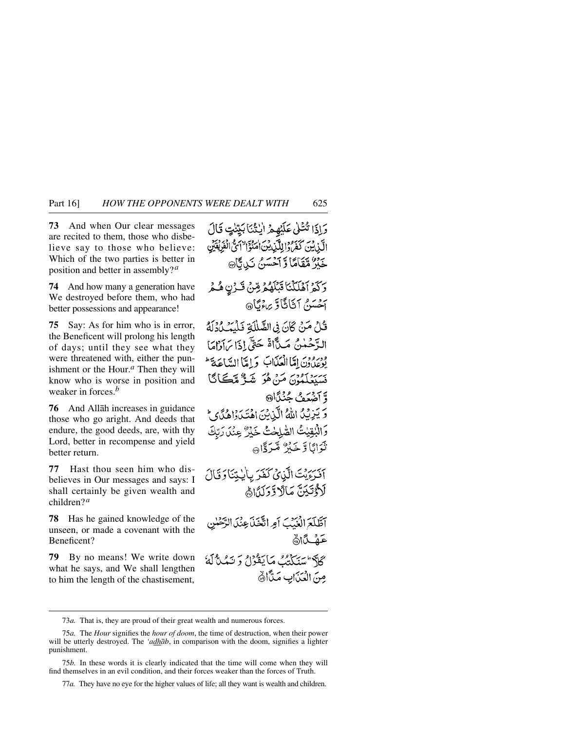**73** And when Our clear messages are recited to them, those who disbelieve say to those who believe: Which of the two parties is better in position and better in assembly?*<sup>a</sup>*

**74** And how many a generation have We destroyed before them, who had better possessions and appearance!

**75** Say: As for him who is in error, the Beneficent will prolong his length of days; until they see what they were threatened with, either the punishment or the Hour.*<sup>a</sup>* Then they will know who is worse in position and weaker in forces.*<sup>b</sup>*

**76** And Allåh increases in guidance those who go aright. And deeds that endure, the good deeds, are, with thy Lord, better in recompense and yield better return.

**77** Hast thou seen him who disbelieves in Our messages and says: I shall certainly be given wealth and children?*<sup>a</sup>*

**78** Has he gained knowledge of the unseen, or made a covenant with the Beneficent?

**79** By no means! We write down what he says, and We shall lengthen to him the length of the chastisement,

دَاذَا تُشَلِّي عَلَيْهِمْ الْنُثْنَابَيِّنِتِ قَالَ الَّيْنِ بِيَ كَفَرَهُ دَالِلَّيْنِ بِيَنَ اٰمَنُوْٓا ۚ اَسَّى الْفَرِيْقَيْنِ جَزْرٌ مَّقَامًا وَّ آخَسَنُ نَبِي ٿَاڻَ وَكَمْ آَهْلَكْنَا قَبْلَهُمْ مِّنْ قَدْنِ هُمْ آخَسَنَ آنَانَاً وَّ بِرِءْنَاهِ، قُلْ مَنْ كَانَ فِي الصَّلْلَةِ فَلْيَبِ وَوَلَمْ الدَّحْمٰنُ مَدَّاةً حَتَّىٰ!ذَا بِرَآوَٰاهَا ودرود امّالعَلّات وَإِمَّاالِسَاعَةَ ۖ بَسَيْعِلَمُوْنَ مَنْ هُوَ شَيُّ مِّڪَانَگَا وَّ آَضُعَفُ جُنُدًّا۞ وَ يَبْرِيْدُ اللَّهُ الَّيْاسُنَ اهْتَيْدَوْاهُدًى بِمَ وَالْبُقِيْتُ الصَّلِحْتُ خَيْرٌ عِنْدَ رَبِّكَ نْدَانَا وَّ جَدْرٌ مَّيَدَ وَّاهِ بِهِ أَفْرَءَيْتَ الَّذِيْ كَفَرَ بِأَيْتِنَا وَقَالَ لَأَدْتَيْنَ مَالَا دَّوَلَدًا أَهْ آطَّلَعَ الْغَيْبَ أَمِرِ اتَّخَذَ عِنْدَ الرَّحْلَ عَهْكَاڭ كَلَّهُ سَيَكِنْتُ مَا يَقُوْلُ وَ يَمْلُأَلَّهُ مِنَ الْعَنَابِ مَتَّأَاةٌ

<sup>73</sup>*a.* That is, they are proud of their great wealth and numerous forces.

<sup>75</sup>*a.* The *Hour* signifies the *hour of doom*, the time of destruction, when their power will be utterly destroyed. The *'adhåb*, in comparison with the doom, signifies a lighter punishment.

<sup>75</sup>*b.* In these words it is clearly indicated that the time will come when they will find themselves in an evil condition, and their forces weaker than the forces of Truth.

<sup>77</sup>*a.* They have no eye for the higher values of life; all they want is wealth and children.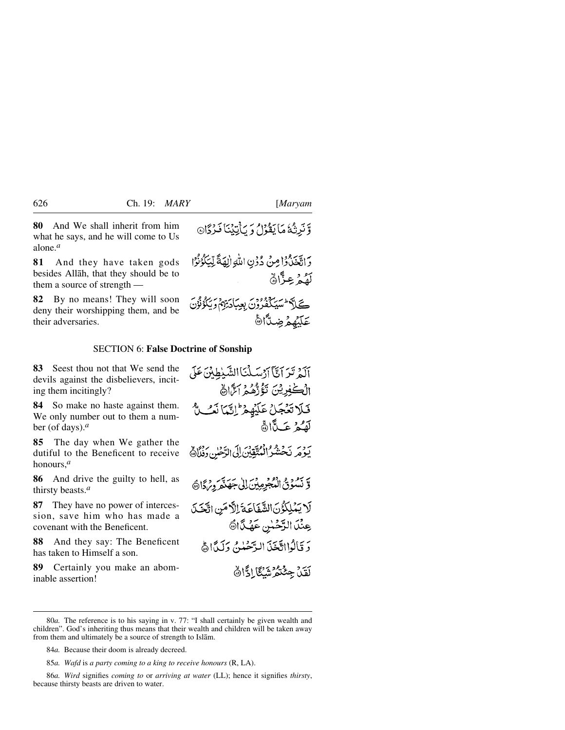عَلَيْهِمْ ضِدًّا الْ

**80** And We shall inherit from him what he says, and he will come to Us alone.*<sup>a</sup>*

**81** And they have taken gods besides Allåh, that they should be to them a source of strength —

**82** By no means! They will soon deny their worshipping them, and be their adversaries.

# وَّنَرِثُهُ مَا يَقْوَلُ وَ يَأْتِيْنَا فَرْدًا@

وَاتَّخَذُّوۡۤاْ مِنۡ دُوۡنِ اللَّهِ الِّهَةَ لِّيَكُوۡنُوۡا لَفُمْ عِزَّانٌ ٤

#### SECTION 6: **False Doctrine of Sonship**

**83** Seest thou not that We send the devils against the disbelievers, inciting them incitingly?

**84** So make no haste against them. We only number out to them a number (of days).*<sup>a</sup>*

**85** The day when We gather the dutiful to the Beneficent to receive honours,*<sup>a</sup>*

**86** And drive the guilty to hell, as thirsty beasts.*<sup>a</sup>*

**87** They have no power of intercession, save him who has made a covenant with the Beneficent.

**88** And they say: The Beneficent has taken to Himself a son.

**89** Certainly you make an abominable assertion!

آلَةُ تَدَ آنَّآَ آدْسَلْنَا الشَّلْطِينَ عَلَى الْڪْفِرِيْنَ تَؤُرُّهُمْ اَسَّالَ فيلا تضعك عَلَيْهِمْ إِنَّمَا نَفْسٌ لَّفَكَّ عَبِدًّا أَنَّهَ يَوْمَرِ نَحْشُرُ الْمُتَّقِينَ إِلَى الرَّحْلِنِ وَنُمَّاهُمْ وَّ نَسْوَيُّ الْمُجْرِمِيْنَ إِلَى جَهَنْمَ دِمْ دَارَهَ لَا يَمْلِكُوُنَ الشَّفَاعَةَ اِلَّامَنِ اتَّخَذَ عِنْدَ الرَّحْسُ عَهْدًا هَ دَ قَالَوْااتَّخَذَ الرَّحْمٰنُ دَلَيْدًاهُ لَقَلْ جِئْتُمْ شَكَّا ادًّا ﴾

<sup>80</sup>*a.* The reference is to his saying in v. 77: "I shall certainly be given wealth and children". God's inheriting thus means that their wealth and children will be taken away from them and ultimately be a source of strength to Islåm.

<sup>84</sup>*a.* Because their doom is already decreed.

<sup>85</sup>*a. Wafd* is *a party coming to a king to receive honours* (R, LA).

<sup>86</sup>*a. Wird* signifies *coming to* or *arriving at water* (LL); hence it signifies *thirsty*, because thirsty beasts are driven to water.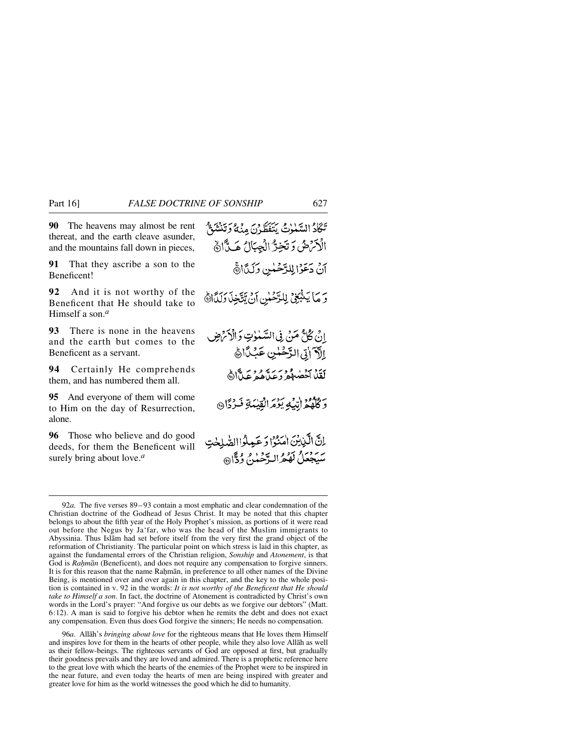**90** The heavens may almost be rent thereat, and the earth cleave asunder, and the mountains fall down in pieces,

**91** That they ascribe a son to the Beneficent!

**92** And it is not worthy of the Beneficent that He should take to Himself a son.*<sup>a</sup>*

**93** There is none in the heavens and the earth but comes to the Beneficent as a servant.

**94** Certainly He comprehends them, and has numbered them all.

**95** And everyone of them will come to Him on the day of Resurrection, alone.

**96** Those who believe and do good deeds, for them the Beneficent will surely bring about love.*<sup>a</sup>*

96*a.* Allåh's *bringing about love* for the righteous means that He loves them Himself and inspires love for them in the hearts of other people, while they also love Allåh as well as their fellow-beings. The righteous servants of God are opposed at first, but gradually their goodness prevails and they are loved and admired. There is a prophetic reference here to the great love with which the hearts of the enemies of the Prophet were to be inspired in the near future, and even today the hearts of men are being inspired with greater and greater love for him as the world witnesses the good which he did to humanity.

تَكَادُ السَّلْوٰتُ يَتَفَطَّرْنَ مِنۡهُ وَتَنۡشَوْ ۗ الْأَنْرَضُ وَتَخِرُّ الْجِبَالُ هَيِّأَاهُ آنْ دَعَوْالِلزَّحْلَيْنِ وَلَدَّانَّ وَ مَا يَشْعَىْ لِلرَّحْسِ أَنْ يَتَّخِذَ وَلَدًانَّ انْ ݣَالَّ مَنْ فِي السَّلْوٰتِ وَالْأَتْرَضِينَ إلآ اتى الرَّحُمْنِ عَبْدًاهُ لَقِّلْ اَحْضُهُمْ وَعَدَّهُمْ عَدَّاً أَنَّهُ وَكُلُّهُمْ إِنَّيْهِ يَوْمَ الْقِيْبَةِ فَرْدًا @ اِنَّ الَّذِيْنَ امَنُوْا وَعَمِلُوا الصَّلِحْتِ سبجعلُ لَهُمُرالهٌ حَينٌ وُدًّا۞

<sup>92</sup>*a.* The five verses 89– 93 contain a most emphatic and clear condemnation of the Christian doctrine of the Godhead of Jesus Christ. It may be noted that this chapter belongs to about the fifth year of the Holy Prophet's mission, as portions of it were read out before the Negus by Ja'far, who was the head of the Muslim immigrants to Abyssinia. Thus Islåm had set before itself from the very first the grand object of the reformation of Christianity. The particular point on which stress is laid in this chapter, as against the fundamental errors of the Christian religion, *Sonship* and *Atonement*, is that God is *Rahmān* (Beneficent), and does not require any compensation to forgive sinners. It is for this reason that the name Rahmān, in preference to all other names of the Divine Being, is mentioned over and over again in this chapter, and the key to the whole position is contained in v. 92 in the words: *It is not worthy of the Beneficent that He should take to Himself a son*. In fact, the doctrine of Atonement is contradicted by Christ's own words in the Lord's prayer: "And forgive us our debts as we forgive our debtors" (Matt. 6:12). A man is said to forgive his debtor when he remits the debt and does not exact any compensation. Even thus does God forgive the sinners; He needs no compensation.